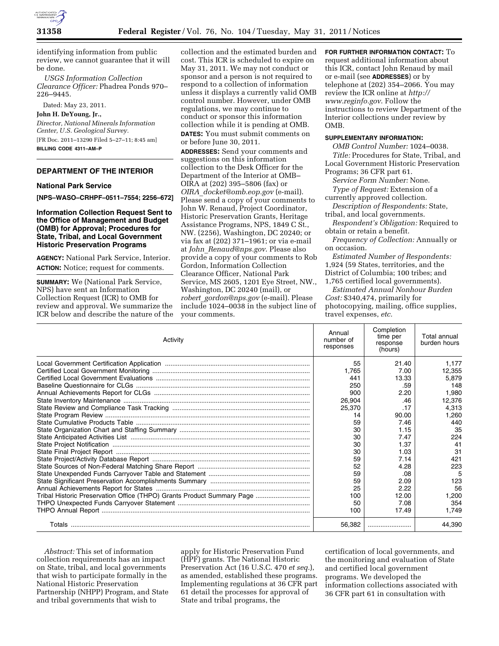

identifying information from public review, we cannot guarantee that it will be done.

*USGS Information Collection Clearance Officer:* Phadrea Ponds 970– 226–9445.

Dated: May 23, 2011.

#### **John H. DeYoung, Jr.,**

*Director, National Minerals Information Center, U.S. Geological Survey.*  [FR Doc. 2011–13290 Filed 5–27–11; 8:45 am] **BILLING CODE 4311–AM–P** 

## **DEPARTMENT OF THE INTERIOR**

### **National Park Service**

**[NPS–WASO–CRHPF–0511–7554; 2256–672]** 

**Information Collection Request Sent to the Office of Management and Budget (OMB) for Approval; Procedures for State, Tribal, and Local Government Historic Preservation Programs** 

**AGENCY:** National Park Service, Interior. **ACTION:** Notice; request for comments.

**SUMMARY:** We (National Park Service, NPS) have sent an Information Collection Request (ICR) to OMB for review and approval. We summarize the ICR below and describe the nature of the collection and the estimated burden and cost. This ICR is scheduled to expire on May 31, 2011. We may not conduct or sponsor and a person is not required to respond to a collection of information unless it displays a currently valid OMB control number. However, under OMB regulations, we may continue to conduct or sponsor this information collection while it is pending at OMB. **DATES:** You must submit comments on or before June 30, 2011.

**ADDRESSES:** Send your comments and suggestions on this information collection to the Desk Officer for the Department of the Interior at OMB– OIRA at (202) 395–5806 (fax) or *OIRA*\_*[docket@omb.eop.gov](mailto:OIRA_docket@omb.eop.gov)* (e-mail). Please send a copy of your comments to John W. Renaud, Project Coordinator, Historic Preservation Grants, Heritage Assistance Programs, NPS, 1849 C St., NW. (2256), Washington, DC 20240; or via fax at (202) 371–1961; or via e-mail at *John*\_*[Renaud@nps.gov](mailto:John_Renaud@nps.gov)*. Please also provide a copy of your comments to Rob Gordon, Information Collection Clearance Officer, National Park Service, MS 2605, 1201 Eye Street, NW., Washington, DC 20240 (mail), or *robert*\_*[gordon@nps.gov](mailto:robert_gordon@nps.gov)* (e-mail). Please include 1024–0038 in the subject line of your comments.

**FOR FURTHER INFORMATION CONTACT:** To request additional information about this ICR, contact John Renaud by mail or e-mail (see **ADDRESSES**) or by telephone at (202) 354–2066. You may review the ICR online at *[http://](http://www.reginfo.gov)  [www.reginfo.gov](http://www.reginfo.gov)*. Follow the instructions to review Department of the Interior collections under review by OMB.

### **SUPPLEMENTARY INFORMATION:**

*OMB Control Number:* 1024–0038. *Title:* Procedures for State, Tribal, and Local Government Historic Preservation

Programs; 36 CFR part 61.

*Service Form Number:* None. *Type of Request:* Extension of a

currently approved collection. *Description of Respondents:* State,

tribal, and local governments.

*Respondent's Obligation:* Required to obtain or retain a benefit.

*Frequency of Collection:* Annually or on occasion.

*Estimated Number of Respondents:*  1,924 (59 States, territories, and the District of Columbia; 100 tribes; and 1,765 certified local governments).

*Estimated Annual Nonhour Burden Cost:* \$340,474, primarily for photocopying, mailing, office supplies, travel expenses, *etc.* 

| Activity                                                               | Annual<br>number of<br>responses | Completion<br>time per<br>response<br>(hours) | Total annual<br>burden hours |
|------------------------------------------------------------------------|----------------------------------|-----------------------------------------------|------------------------------|
|                                                                        | 55                               | 21.40                                         | 1,177                        |
|                                                                        | 1.765                            | 7.00                                          | 12,355                       |
|                                                                        | 441                              | 13.33                                         | 5,879                        |
|                                                                        | 250                              | .59                                           | 148                          |
|                                                                        | 900                              | 2.20                                          | 1,980                        |
|                                                                        | 26,904                           | .46                                           | 12,376                       |
|                                                                        | 25,370                           | .17                                           | 4,313                        |
|                                                                        | 14                               | 90.00                                         | 1,260                        |
|                                                                        | 59                               | 7.46                                          | 440                          |
|                                                                        | 30                               | 1.15                                          | 35                           |
|                                                                        | 30                               | 7.47                                          | 224                          |
|                                                                        | 30                               | 1.37                                          | 41                           |
|                                                                        | 30                               | 1.03                                          | 31                           |
|                                                                        | 59                               | 7.14                                          | 421                          |
|                                                                        | 52                               | 4.28                                          | 223                          |
|                                                                        | 59                               | .08                                           | 5                            |
|                                                                        | 59                               | 2.09                                          | 123                          |
|                                                                        | 25                               | 2.22                                          | 56                           |
| Tribal Historic Preservation Office (THPO) Grants Product Summary Page | 100                              | 12.00                                         | 1,200                        |
|                                                                        | 50                               | 7.08                                          | 354                          |
|                                                                        | 100                              | 17.49                                         | 1,749                        |
|                                                                        | 56.382                           |                                               | 44,390                       |

*Abstract:* This set of information collection requirements has an impact on State, tribal, and local governments that wish to participate formally in the National Historic Preservation Partnership (NHPP) Program, and State and tribal governments that wish to

apply for Historic Preservation Fund (HPF) grants. The National Historic Preservation Act (16 U.S.C. 470 *et seq.*), as amended, established these programs. Implementing regulations at 36 CFR part 61 detail the processes for approval of State and tribal programs, the

certification of local governments, and the monitoring and evaluation of State and certified local government programs. We developed the information collections associated with 36 CFR part 61 in consultation with